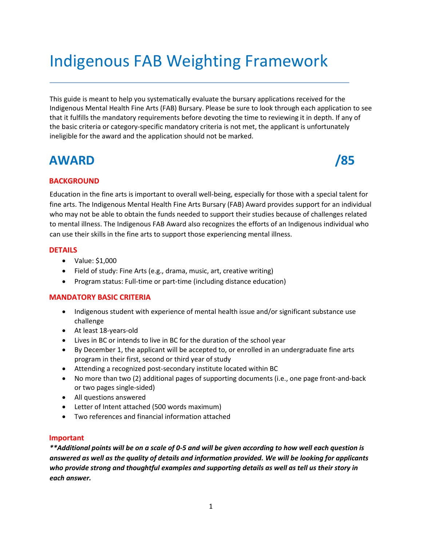# Indigenous FAB Weighting Framework

This guide is meant to help you systematically evaluate the bursary applications received for the Indigenous Mental Health Fine Arts (FAB) Bursary. Please be sure to look through each application to see that it fulfills the mandatory requirements before devoting the time to reviewing it in depth. If any of the basic criteria or category-specific mandatory criteria is not met, the applicant is unfortunately ineligible for the award and the application should not be marked.

# **AWARD /85**



### **BACKGROUND**

Education in the fine arts is important to overall well-being, especially for those with a special talent for fine arts. The Indigenous Mental Health Fine Arts Bursary (FAB) Award provides support for an individual who may not be able to obtain the funds needed to support their studies because of challenges related to mental illness. The Indigenous FAB Award also recognizes the efforts of an Indigenous individual who can use their skills in the fine arts to support those experiencing mental illness.

#### **DETAILS**

- Value: \$1,000
- Field of study: Fine Arts (e.g., drama, music, art, creative writing)
- Program status: Full-time or part-time (including distance education)

#### **MANDATORY BASIC CRITERIA**

- Indigenous student with experience of mental health issue and/or significant substance use challenge
- At least 18-years-old
- Lives in BC or intends to live in BC for the duration of the school year
- By December 1, the applicant will be accepted to, or enrolled in an undergraduate fine arts program in their first, second or third year of study
- Attending a recognized post-secondary institute located within BC
- No more than two (2) additional pages of supporting documents (i.e., one page front-and-back or two pages single-sided)
- All questions answered
- Letter of Intent attached (500 words maximum)
- Two references and financial information attached

#### **Important**

*\*\*Additional points will be on a scale of 0-5 and will be given according to how well each question is answered as well as the quality of details and information provided. We will be looking for applicants who provide strong and thoughtful examples and supporting details as well as tell us their story in each answer.*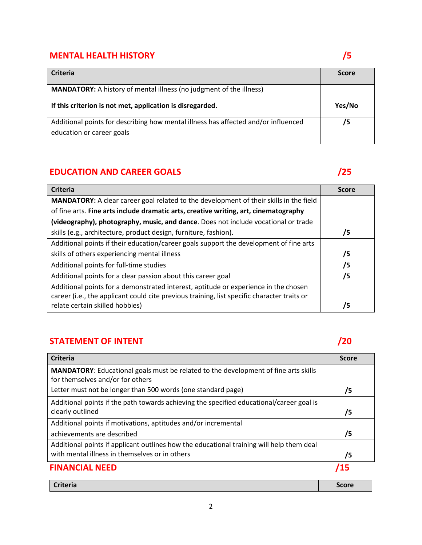# **MENTAL HEALTH HISTORY** *S*

| <b>Criteria</b>                                                                                                 | <b>Score</b> |
|-----------------------------------------------------------------------------------------------------------------|--------------|
| <b>MANDATORY:</b> A history of mental illness (no judgment of the illness)                                      |              |
| If this criterion is not met, application is disregarded.                                                       | Yes/No       |
| Additional points for describing how mental illness has affected and/or influenced<br>education or career goals | /5           |

# **EDUCATION AND CAREER GOALS** *CONTRACTION AND CAREER GOALS*

| <b>Criteria</b>                                                                               | <b>Score</b> |
|-----------------------------------------------------------------------------------------------|--------------|
| <b>MANDATORY:</b> A clear career goal related to the development of their skills in the field |              |
| of fine arts. Fine arts include dramatic arts, creative writing, art, cinematography          |              |
| (videography), photography, music, and dance. Does not include vocational or trade            |              |
| skills (e.g., architecture, product design, furniture, fashion).                              | /5           |
| Additional points if their education/career goals support the development of fine arts        |              |
| skills of others experiencing mental illness                                                  | /5           |
| Additional points for full-time studies                                                       | /5           |
| Additional points for a clear passion about this career goal                                  | /5           |
| Additional points for a demonstrated interest, aptitude or experience in the chosen           |              |
| career (i.e., the applicant could cite previous training, list specific character traits or   |              |
| relate certain skilled hobbies)                                                               | /5           |

## **STATEMENT OF INTENT 120 PERIODICAL STATEMENT 120**

| <b>Criteria</b>                                                                            | <b>Score</b> |
|--------------------------------------------------------------------------------------------|--------------|
| <b>MANDATORY:</b> Educational goals must be related to the development of fine arts skills |              |
| for themselves and/or for others                                                           |              |
| Letter must not be longer than 500 words (one standard page)                               | 75           |
| Additional points if the path towards achieving the specified educational/career goal is   |              |
| clearly outlined                                                                           | /5           |
| Additional points if motivations, aptitudes and/or incremental                             |              |
| achievements are described                                                                 | /5           |
| Additional points if applicant outlines how the educational training will help them deal   |              |
| with mental illness in themselves or in others                                             | /5           |
| <b>FINANCIAL NEED</b>                                                                      |              |

| <b>Criteria</b> | Score |
|-----------------|-------|
|                 |       |